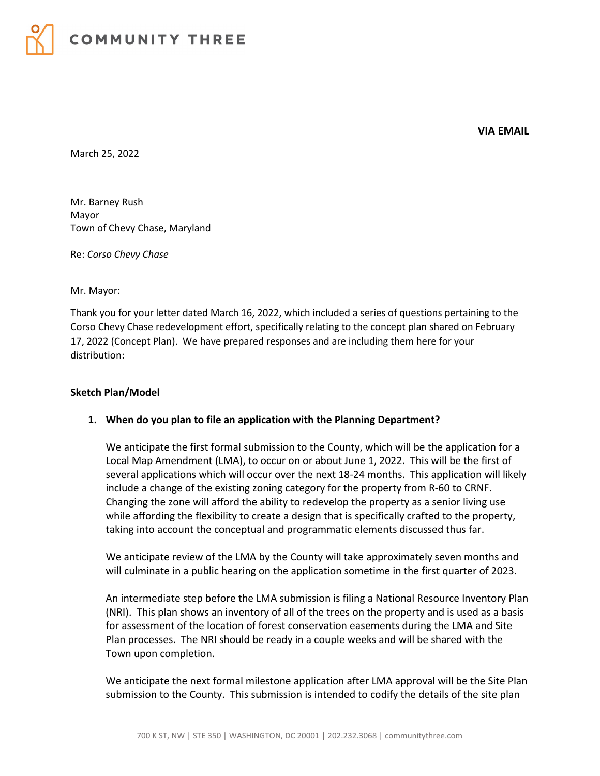

**VIA EMAIL**

March 25, 2022

Mr. Barney Rush Mayor Town of Chevy Chase, Maryland

Re: *Corso Chevy Chase*

Mr. Mayor:

Thank you for your letter dated March 16, 2022, which included a series of questions pertaining to the Corso Chevy Chase redevelopment effort, specifically relating to the concept plan shared on February 17, 2022 (Concept Plan). We have prepared responses and are including them here for your distribution:

#### **Sketch Plan/Model**

#### **1. When do you plan to file an application with the Planning Department?**

We anticipate the first formal submission to the County, which will be the application for a Local Map Amendment (LMA), to occur on or about June 1, 2022. This will be the first of several applications which will occur over the next 18-24 months. This application will likely include a change of the existing zoning category for the property from R-60 to CRNF. Changing the zone will afford the ability to redevelop the property as a senior living use while affording the flexibility to create a design that is specifically crafted to the property, taking into account the conceptual and programmatic elements discussed thus far.

We anticipate review of the LMA by the County will take approximately seven months and will culminate in a public hearing on the application sometime in the first quarter of 2023.

An intermediate step before the LMA submission is filing a National Resource Inventory Plan (NRI). This plan shows an inventory of all of the trees on the property and is used as a basis for assessment of the location of forest conservation easements during the LMA and Site Plan processes. The NRI should be ready in a couple weeks and will be shared with the Town upon completion.

We anticipate the next formal milestone application after LMA approval will be the Site Plan submission to the County. This submission is intended to codify the details of the site plan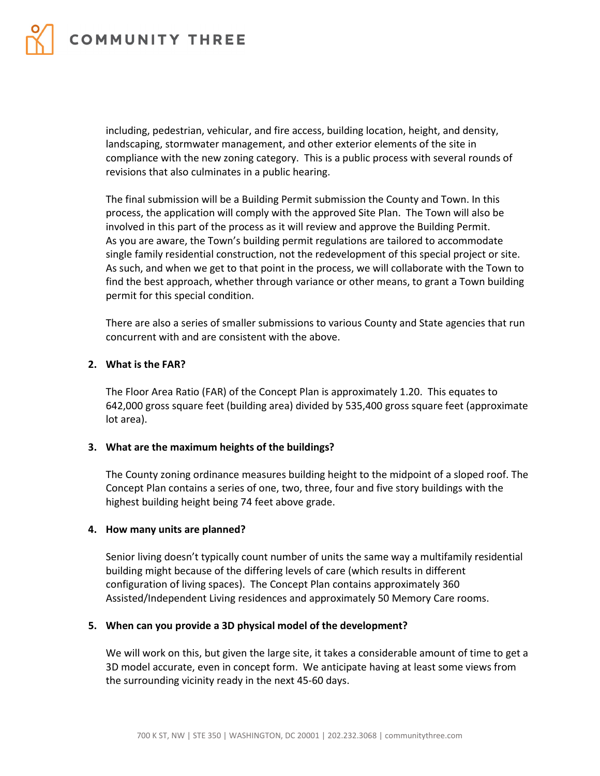

including, pedestrian, vehicular, and fire access, building location, height, and density, landscaping, stormwater management, and other exterior elements of the site in compliance with the new zoning category. This is a public process with several rounds of revisions that also culminates in a public hearing.

The final submission will be a Building Permit submission the County and Town. In this process, the application will comply with the approved Site Plan. The Town will also be involved in this part of the process as it will review and approve the Building Permit. As you are aware, the Town's building permit regulations are tailored to accommodate single family residential construction, not the redevelopment of this special project or site. As such, and when we get to that point in the process, we will collaborate with the Town to find the best approach, whether through variance or other means, to grant a Town building permit for this special condition.

There are also a series of smaller submissions to various County and State agencies that run concurrent with and are consistent with the above.

#### **2. What is the FAR?**

The Floor Area Ratio (FAR) of the Concept Plan is approximately 1.20. This equates to 642,000 gross square feet (building area) divided by 535,400 gross square feet (approximate lot area).

### **3. What are the maximum heights of the buildings?**

The County zoning ordinance measures building height to the midpoint of a sloped roof. The Concept Plan contains a series of one, two, three, four and five story buildings with the highest building height being 74 feet above grade.

#### **4. How many units are planned?**

Senior living doesn't typically count number of units the same way a multifamily residential building might because of the differing levels of care (which results in different configuration of living spaces). The Concept Plan contains approximately 360 Assisted/Independent Living residences and approximately 50 Memory Care rooms.

#### **5. When can you provide a 3D physical model of the development?**

We will work on this, but given the large site, it takes a considerable amount of time to get a 3D model accurate, even in concept form. We anticipate having at least some views from the surrounding vicinity ready in the next 45-60 days.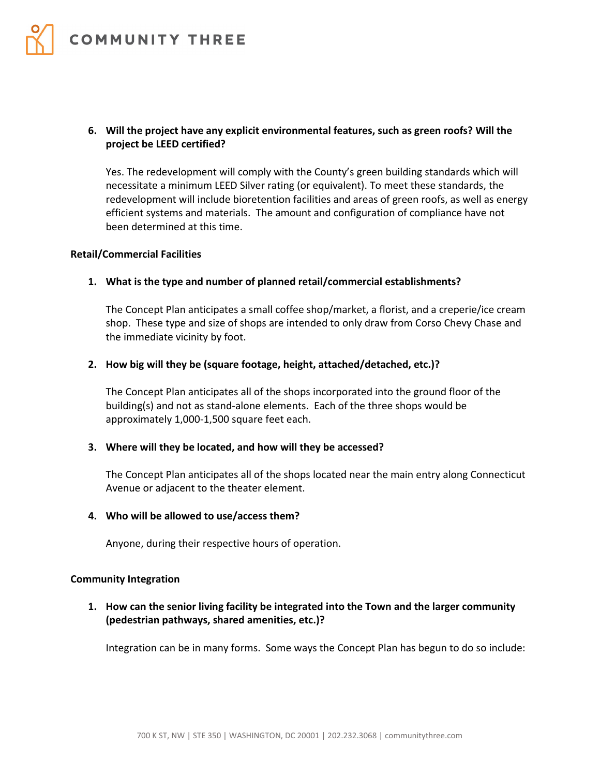

## **6. Will the project have any explicit environmental features, such as green roofs? Will the project be LEED certified?**

Yes. The redevelopment will comply with the County's green building standards which will necessitate a minimum LEED Silver rating (or equivalent). To meet these standards, the redevelopment will include bioretention facilities and areas of green roofs, as well as energy efficient systems and materials. The amount and configuration of compliance have not been determined at this time.

### **Retail/Commercial Facilities**

# **1. What is the type and number of planned retail/commercial establishments?**

The Concept Plan anticipates a small coffee shop/market, a florist, and a creperie/ice cream shop. These type and size of shops are intended to only draw from Corso Chevy Chase and the immediate vicinity by foot.

## **2. How big will they be (square footage, height, attached/detached, etc.)?**

The Concept Plan anticipates all of the shops incorporated into the ground floor of the building(s) and not as stand-alone elements. Each of the three shops would be approximately 1,000-1,500 square feet each.

# **3. Where will they be located, and how will they be accessed?**

The Concept Plan anticipates all of the shops located near the main entry along Connecticut Avenue or adjacent to the theater element.

### **4. Who will be allowed to use/access them?**

Anyone, during their respective hours of operation.

### **Community Integration**

**1. How can the senior living facility be integrated into the Town and the larger community (pedestrian pathways, shared amenities, etc.)?** 

Integration can be in many forms. Some ways the Concept Plan has begun to do so include: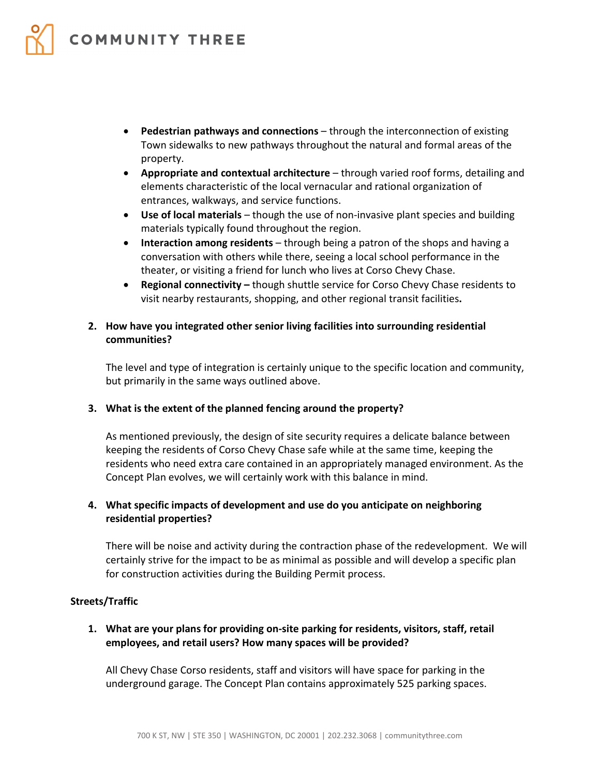

- **Pedestrian pathways and connections** through the interconnection of existing Town sidewalks to new pathways throughout the natural and formal areas of the property.
- **Appropriate and contextual architecture** through varied roof forms, detailing and elements characteristic of the local vernacular and rational organization of entrances, walkways, and service functions.
- **Use of local materials** though the use of non-invasive plant species and building materials typically found throughout the region.
- **Interaction among residents** through being a patron of the shops and having a conversation with others while there, seeing a local school performance in the theater, or visiting a friend for lunch who lives at Corso Chevy Chase.
- **Regional connectivity –** though shuttle service for Corso Chevy Chase residents to visit nearby restaurants, shopping, and other regional transit facilities**.**

# **2. How have you integrated other senior living facilities into surrounding residential communities?**

The level and type of integration is certainly unique to the specific location and community, but primarily in the same ways outlined above.

# **3. What is the extent of the planned fencing around the property?**

As mentioned previously, the design of site security requires a delicate balance between keeping the residents of Corso Chevy Chase safe while at the same time, keeping the residents who need extra care contained in an appropriately managed environment. As the Concept Plan evolves, we will certainly work with this balance in mind.

# **4. What specific impacts of development and use do you anticipate on neighboring residential properties?**

There will be noise and activity during the contraction phase of the redevelopment. We will certainly strive for the impact to be as minimal as possible and will develop a specific plan for construction activities during the Building Permit process.

### **Streets/Traffic**

**1. What are your plans for providing on-site parking for residents, visitors, staff, retail employees, and retail users? How many spaces will be provided?** 

All Chevy Chase Corso residents, staff and visitors will have space for parking in the underground garage. The Concept Plan contains approximately 525 parking spaces.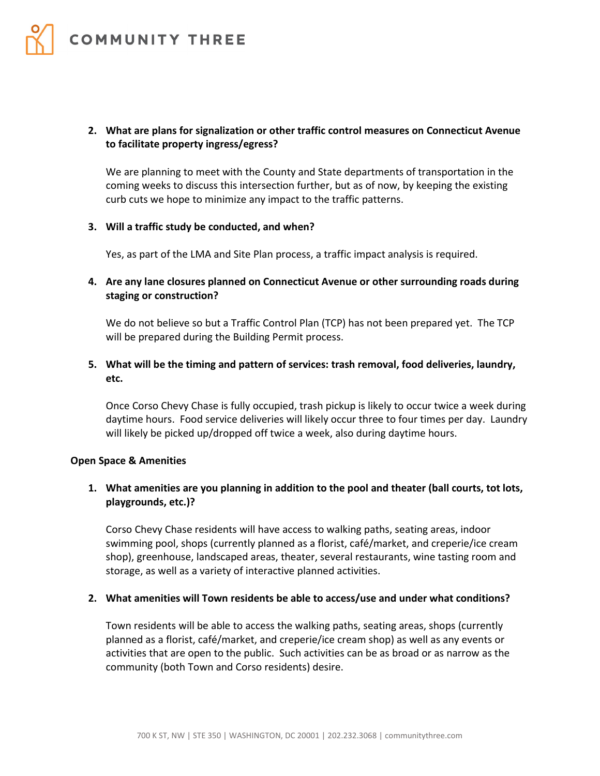

## **2. What are plans for signalization or other traffic control measures on Connecticut Avenue to facilitate property ingress/egress?**

We are planning to meet with the County and State departments of transportation in the coming weeks to discuss this intersection further, but as of now, by keeping the existing curb cuts we hope to minimize any impact to the traffic patterns.

#### **3. Will a traffic study be conducted, and when?**

Yes, as part of the LMA and Site Plan process, a traffic impact analysis is required.

## **4. Are any lane closures planned on Connecticut Avenue or other surrounding roads during staging or construction?**

We do not believe so but a Traffic Control Plan (TCP) has not been prepared yet. The TCP will be prepared during the Building Permit process.

# **5. What will be the timing and pattern of services: trash removal, food deliveries, laundry, etc.**

Once Corso Chevy Chase is fully occupied, trash pickup is likely to occur twice a week during daytime hours. Food service deliveries will likely occur three to four times per day. Laundry will likely be picked up/dropped off twice a week, also during daytime hours.

### **Open Space & Amenities**

# **1. What amenities are you planning in addition to the pool and theater (ball courts, tot lots, playgrounds, etc.)?**

Corso Chevy Chase residents will have access to walking paths, seating areas, indoor swimming pool, shops (currently planned as a florist, café/market, and creperie/ice cream shop), greenhouse, landscaped areas, theater, several restaurants, wine tasting room and storage, as well as a variety of interactive planned activities.

#### **2. What amenities will Town residents be able to access/use and under what conditions?**

Town residents will be able to access the walking paths, seating areas, shops (currently planned as a florist, café/market, and creperie/ice cream shop) as well as any events or activities that are open to the public. Such activities can be as broad or as narrow as the community (both Town and Corso residents) desire.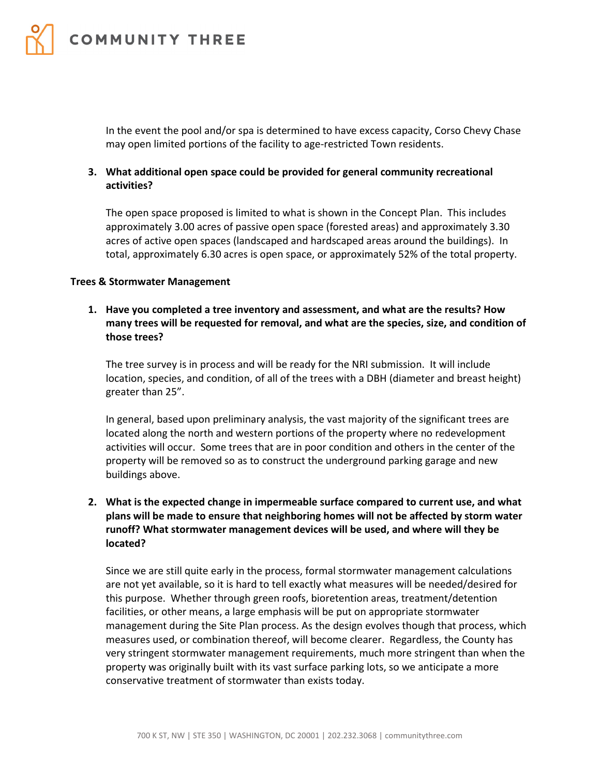

In the event the pool and/or spa is determined to have excess capacity, Corso Chevy Chase may open limited portions of the facility to age-restricted Town residents.

## **3. What additional open space could be provided for general community recreational activities?**

The open space proposed is limited to what is shown in the Concept Plan. This includes approximately 3.00 acres of passive open space (forested areas) and approximately 3.30 acres of active open spaces (landscaped and hardscaped areas around the buildings). In total, approximately 6.30 acres is open space, or approximately 52% of the total property.

#### **Trees & Stormwater Management**

**1. Have you completed a tree inventory and assessment, and what are the results? How many trees will be requested for removal, and what are the species, size, and condition of those trees?** 

The tree survey is in process and will be ready for the NRI submission. It will include location, species, and condition, of all of the trees with a DBH (diameter and breast height) greater than 25".

In general, based upon preliminary analysis, the vast majority of the significant trees are located along the north and western portions of the property where no redevelopment activities will occur. Some trees that are in poor condition and others in the center of the property will be removed so as to construct the underground parking garage and new buildings above.

# **2. What is the expected change in impermeable surface compared to current use, and what plans will be made to ensure that neighboring homes will not be affected by storm water runoff? What stormwater management devices will be used, and where will they be located?**

Since we are still quite early in the process, formal stormwater management calculations are not yet available, so it is hard to tell exactly what measures will be needed/desired for this purpose. Whether through green roofs, bioretention areas, treatment/detention facilities, or other means, a large emphasis will be put on appropriate stormwater management during the Site Plan process. As the design evolves though that process, which measures used, or combination thereof, will become clearer. Regardless, the County has very stringent stormwater management requirements, much more stringent than when the property was originally built with its vast surface parking lots, so we anticipate a more conservative treatment of stormwater than exists today.